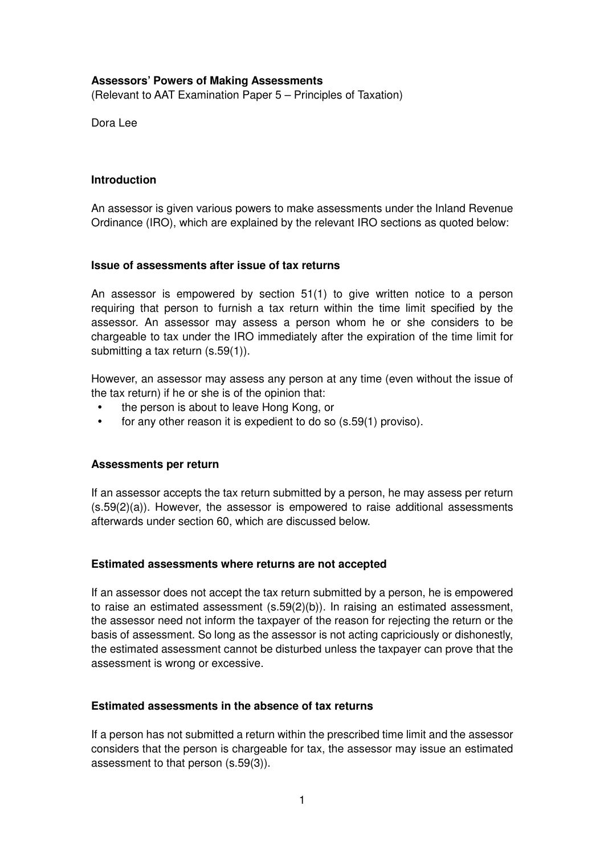# **Assessors' Powers of Making Assessments**

(Relevant to AAT Examination Paper 5 – Principles of Taxation)

Dora Lee

# **Introduction**

An assessor is given various powers to make assessments under the Inland Revenue Ordinance (IRO), which are explained by the relevant IRO sections as quoted below:

# **Issue of assessments after issue of tax returns**

An assessor is empowered by section 51(1) to give written notice to a person requiring that person to furnish a tax return within the time limit specified by the assessor. An assessor may assess a person whom he or she considers to be chargeable to tax under the IRO immediately after the expiration of the time limit for submitting a tax return (s.59(1)).

However, an assessor may assess any person at any time (even without the issue of the tax return) if he or she is of the opinion that:

- the person is about to leave Hong Kong, or
- for any other reason it is expedient to do so (s.59(1) proviso).

# **Assessments per return**

If an assessor accepts the tax return submitted by a person, he may assess per return  $(s.59(2)(a))$ . However, the assessor is empowered to raise additional assessments afterwards under section 60, which are discussed below.

# **Estimated assessments where returns are not accepted**

If an assessor does not accept the tax return submitted by a person, he is empowered to raise an estimated assessment (s.59(2)(b)). In raising an estimated assessment, the assessor need not inform the taxpayer of the reason for rejecting the return or the basis of assessment. So long as the assessor is not acting capriciously or dishonestly, the estimated assessment cannot be disturbed unless the taxpayer can prove that the assessment is wrong or excessive.

# **Estimated assessments in the absence of tax returns**

If a person has not submitted a return within the prescribed time limit and the assessor considers that the person is chargeable for tax, the assessor may issue an estimated assessment to that person (s.59(3)).